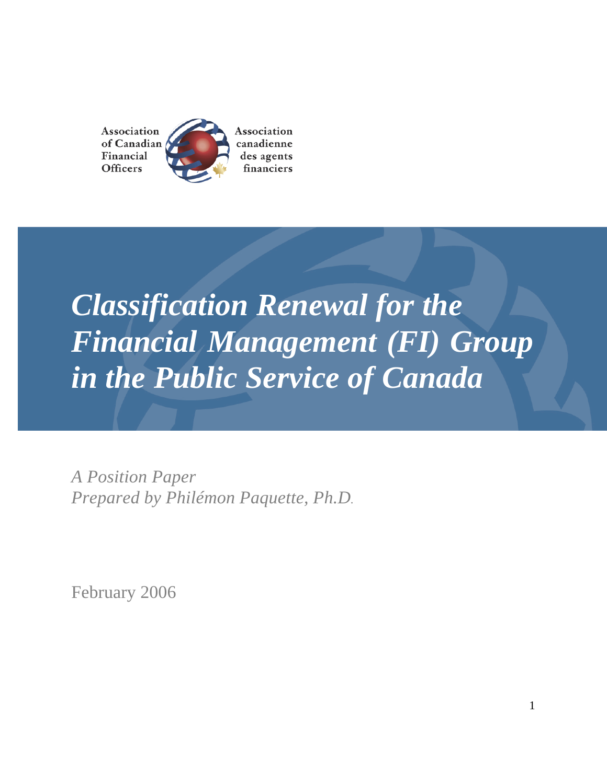Association Association of Canadian canadienne Financial des agents **Officers** financiers

# *Classification Renewal for the Financial Management (FI) Group in the Public Service of Canada*

*A Position Paper Prepared by Philémon Paquette, Ph.D.*

February 2006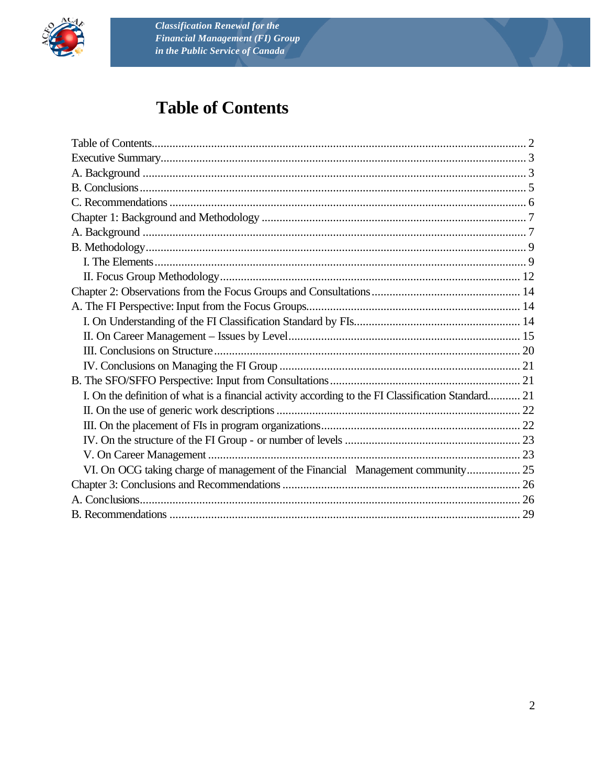

# **Table of Contents**

| I. On the definition of what is a financial activity according to the FI Classification Standard 21 |  |
|-----------------------------------------------------------------------------------------------------|--|
|                                                                                                     |  |
|                                                                                                     |  |
|                                                                                                     |  |
|                                                                                                     |  |
| VI. On OCG taking charge of management of the Financial Management community 25                     |  |
|                                                                                                     |  |
|                                                                                                     |  |
|                                                                                                     |  |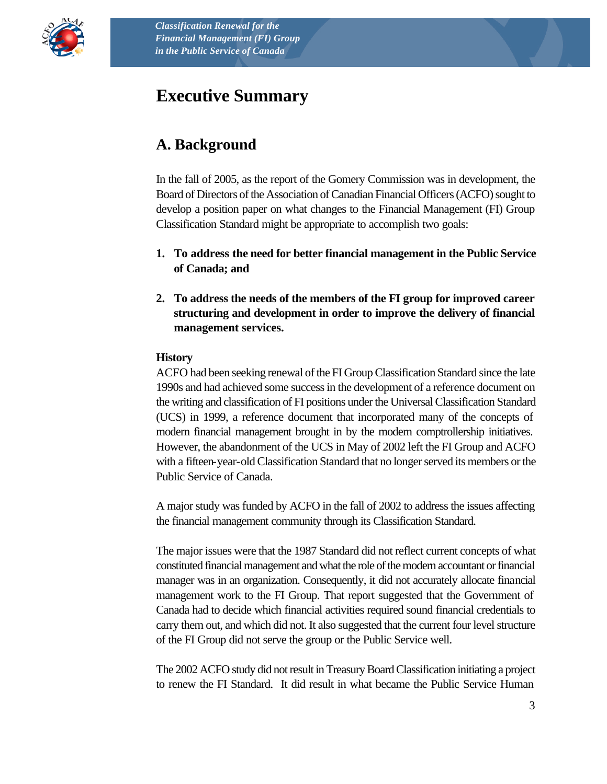

# **Executive Summary**

# **A. Background**

In the fall of 2005, as the report of the Gomery Commission was in development, the Board of Directors of the Association of Canadian Financial Officers (ACFO) sought to develop a position paper on what changes to the Financial Management (FI) Group Classification Standard might be appropriate to accomplish two goals:

- **1. To address the need for better financial management in the Public Service of Canada; and**
- **2. To address the needs of the members of the FI group for improved career structuring and development in order to improve the delivery of financial management services.**

#### **History**

ACFO had been seeking renewal of the FI Group Classification Standard since the late 1990s and had achieved some success in the development of a reference document on the writing and classification of FI positions under the Universal Classification Standard (UCS) in 1999, a reference document that incorporated many of the concepts of modern financial management brought in by the modern comptrollership initiatives. However, the abandonment of the UCS in May of 2002 left the FI Group and ACFO with a fifteen-year-old Classification Standard that no longer served its members or the Public Service of Canada.

A major study was funded by ACFO in the fall of 2002 to address the issues affecting the financial management community through its Classification Standard.

The major issues were that the 1987 Standard did not reflect current concepts of what constituted financial management and what the role of the modern accountant or financial manager was in an organization. Consequently, it did not accurately allocate financial management work to the FI Group. That report suggested that the Government of Canada had to decide which financial activities required sound financial credentials to carry them out, and which did not. It also suggested that the current four level structure of the FI Group did not serve the group or the Public Service well.

The 2002 ACFO study did not result in Treasury Board Classification initiating a project to renew the FI Standard. It did result in what became the Public Service Human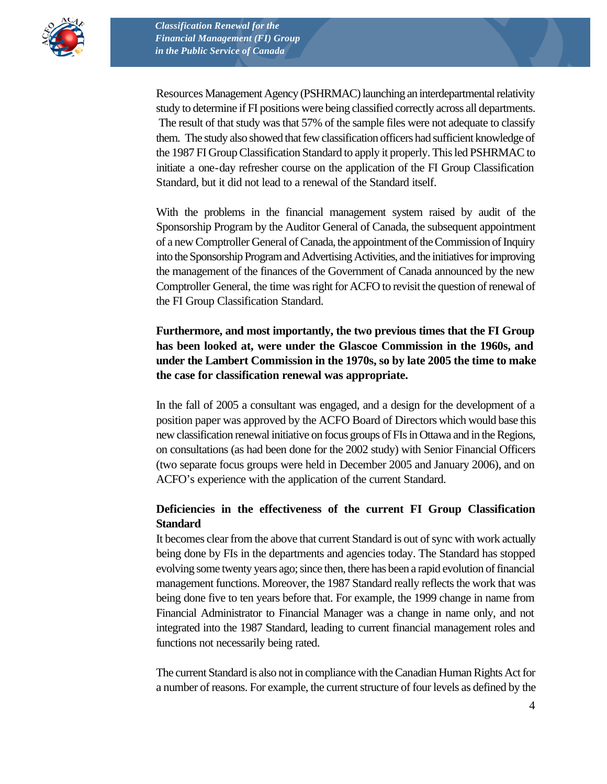

Resources Management Agency (PSHRMAC) launching an interdepartmental relativity study to determine if FI positions were being classified correctly across all departments. The result of that study was that 57% of the sample files were not adequate to classify them. The study also showed that few classification officers had sufficient knowledge of the 1987 FI Group Classification Standard to apply it properly. This led PSHRMAC to initiate a one-day refresher course on the application of the FI Group Classification Standard, but it did not lead to a renewal of the Standard itself.

With the problems in the financial management system raised by audit of the Sponsorship Program by the Auditor General of Canada, the subsequent appointment of a new Comptroller General of Canada, the appointment of the Commission of Inquiry into the Sponsorship Program and Advertising Activities, and the initiatives for improving the management of the finances of the Government of Canada announced by the new Comptroller General, the time was right for ACFO to revisit the question of renewal of the FI Group Classification Standard.

**Furthermore, and most importantly, the two previous times that the FI Group has been looked at, were under the Glascoe Commission in the 1960s, and under the Lambert Commission in the 1970s, so by late 2005 the time to make the case for classification renewal was appropriate.**

In the fall of 2005 a consultant was engaged, and a design for the development of a position paper was approved by the ACFO Board of Directors which would base this new classification renewal initiative on focus groups of FIs in Ottawa and in the Regions, on consultations (as had been done for the 2002 study) with Senior Financial Officers (two separate focus groups were held in December 2005 and January 2006), and on ACFO's experience with the application of the current Standard.

#### **Deficiencies in the effectiveness of the current FI Group Classification Standard**

It becomes clear from the above that current Standard is out of sync with work actually being done by FIs in the departments and agencies today. The Standard has stopped evolving some twenty years ago; since then, there has been a rapid evolution of financial management functions. Moreover, the 1987 Standard really reflects the work that was being done five to ten years before that. For example, the 1999 change in name from Financial Administrator to Financial Manager was a change in name only, and not integrated into the 1987 Standard, leading to current financial management roles and functions not necessarily being rated.

The current Standard is also not in compliance with the Canadian Human Rights Act for a number of reasons. For example, the current structure of four levels as defined by the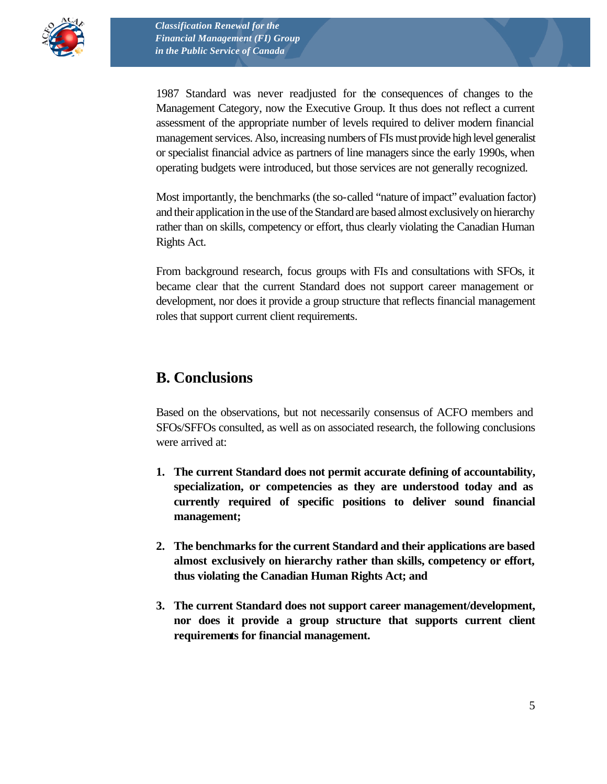

1987 Standard was never readjusted for the consequences of changes to the Management Category, now the Executive Group. It thus does not reflect a current assessment of the appropriate number of levels required to deliver modern financial management services. Also, increasing numbers of FIs must provide high level generalist or specialist financial advice as partners of line managers since the early 1990s, when operating budgets were introduced, but those services are not generally recognized.

Most importantly, the benchmarks (the so-called "nature of impact" evaluation factor) and their application in the use of the Standard are based almost exclusively on hierarchy rather than on skills, competency or effort, thus clearly violating the Canadian Human Rights Act.

From background research, focus groups with FIs and consultations with SFOs, it became clear that the current Standard does not support career management or development, nor does it provide a group structure that reflects financial management roles that support current client requirements.

### **B. Conclusions**

Based on the observations, but not necessarily consensus of ACFO members and SFOs/SFFOs consulted, as well as on associated research, the following conclusions were arrived at:

- **1. The current Standard does not permit accurate defining of accountability, specialization, or competencies as they are understood today and as currently required of specific positions to deliver sound financial management;**
- **2. The benchmarks for the current Standard and their applications are based almost exclusively on hierarchy rather than skills, competency or effort, thus violating the Canadian Human Rights Act; and**
- **3. The current Standard does not support career management/development, nor does it provide a group structure that supports current client requirements for financial management.**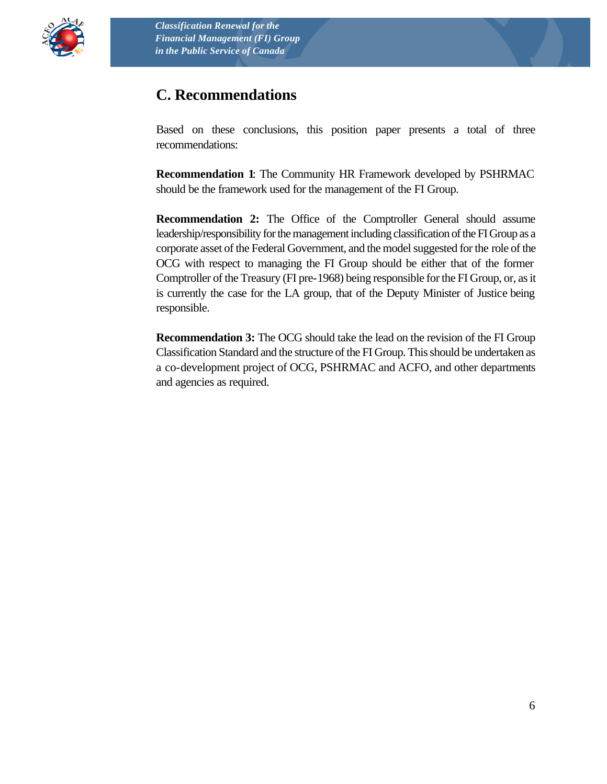

## **C. Recommendations**

Based on these conclusions, this position paper presents a total of three recommendations:

**Recommendation 1**: The Community HR Framework developed by PSHRMAC should be the framework used for the management of the FI Group.

**Recommendation 2:** The Office of the Comptroller General should assume leadership/responsibility for the management including classification of the FI Group as a corporate asset of the Federal Government, and the model suggested for the role of the OCG with respect to managing the FI Group should be either that of the former Comptroller of the Treasury (FI pre-1968) being responsible for the FI Group, or, as it is currently the case for the LA group, that of the Deputy Minister of Justice being responsible.

**Recommendation 3:** The OCG should take the lead on the revision of the FI Group Classification Standard and the structure of the FI Group. This should be undertaken as a co-development project of OCG, PSHRMAC and ACFO, and other departments and agencies as required.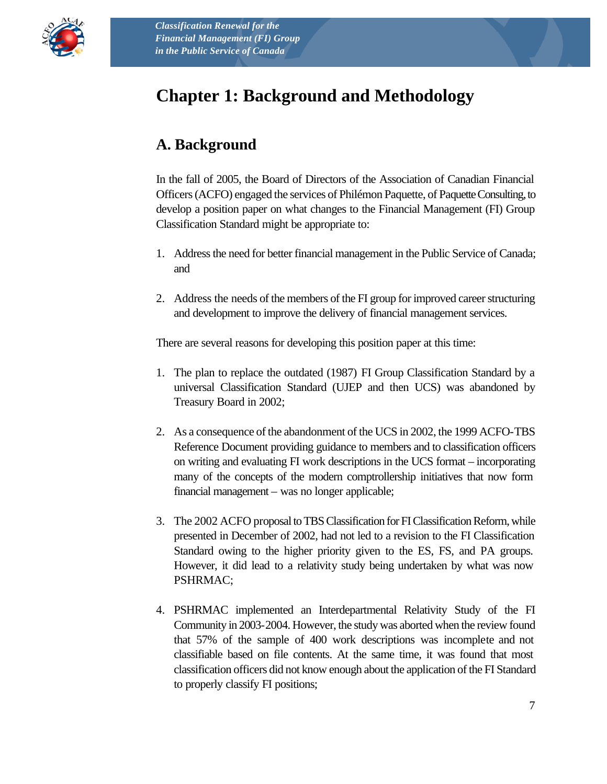

# **Chapter 1: Background and Methodology**

# **A. Background**

In the fall of 2005, the Board of Directors of the Association of Canadian Financial Officers (ACFO) engaged the services of Philémon Paquette, of Paquette Consulting, to develop a position paper on what changes to the Financial Management (FI) Group Classification Standard might be appropriate to:

- 1. Address the need for better financial management in the Public Service of Canada; and
- 2. Address the needs of the members of the FI group for improved career structuring and development to improve the delivery of financial management services.

There are several reasons for developing this position paper at this time:

- 1. The plan to replace the outdated (1987) FI Group Classification Standard by a universal Classification Standard (UJEP and then UCS) was abandoned by Treasury Board in 2002;
- 2. As a consequence of the abandonment of the UCS in 2002, the 1999 ACFO-TBS Reference Document providing guidance to members and to classification officers on writing and evaluating FI work descriptions in the UCS format – incorporating many of the concepts of the modern comptrollership initiatives that now form financial management – was no longer applicable;
- 3. The 2002 ACFO proposal to TBS Classification for FI Classification Reform, while presented in December of 2002, had not led to a revision to the FI Classification Standard owing to the higher priority given to the ES, FS, and PA groups. However, it did lead to a relativity study being undertaken by what was now PSHRMAC;
- 4. PSHRMAC implemented an Interdepartmental Relativity Study of the FI Community in 2003-2004. However, the study was aborted when the review found that 57% of the sample of 400 work descriptions was incomplete and not classifiable based on file contents. At the same time, it was found that most classification officers did not know enough about the application of the FI Standard to properly classify FI positions;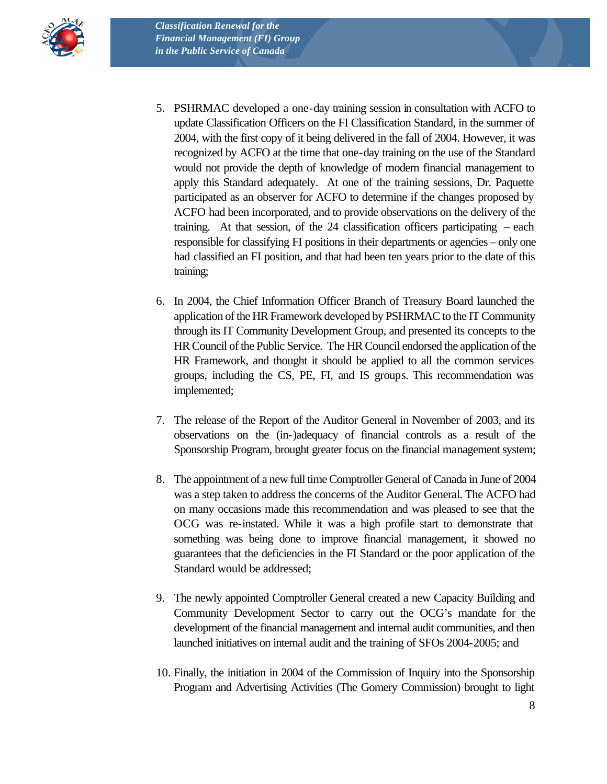

- 5. PSHRMAC developed a one-day training session in consultation with ACFO to update Classification Officers on the FI Classification Standard, in the summer of 2004, with the first copy of it being delivered in the fall of 2004. However, it was recognized by ACFO at the time that one-day training on the use of the Standard would not provide the depth of knowledge of modern financial management to apply this Standard adequately. At one of the training sessions, Dr. Paquette participated as an observer for ACFO to determine if the changes proposed by ACFO had been incorporated, and to provide observations on the delivery of the training. At that session, of the 24 classification officers participating – each responsible for classifying FI positions in their departments or agencies – only one had classified an FI position, and that had been ten years prior to the date of this training;
- 6. In 2004, the Chief Information Officer Branch of Treasury Board launched the application of the HR Framework developed by PSHRMAC to the IT Community through its IT Community Development Group, and presented its concepts to the HR Council of the Public Service. The HR Council endorsed the application of the HR Framework, and thought it should be applied to all the common services groups, including the CS, PE, FI, and IS groups. This recommendation was implemented;
- 7. The release of the Report of the Auditor General in November of 2003, and its observations on the (in-)adequacy of financial controls as a result of the Sponsorship Program, brought greater focus on the financial management system;
- 8. The appointment of a new full time Comptroller General of Canada in June of 2004 was a step taken to address the concerns of the Auditor General. The ACFO had on many occasions made this recommendation and was pleased to see that the OCG was re-instated. While it was a high profile start to demonstrate that something was being done to improve financial management, it showed no guarantees that the deficiencies in the FI Standard or the poor application of the Standard would be addressed;
- 9. The newly appointed Comptroller General created a new Capacity Building and Community Development Sector to carry out the OCG's mandate for the development of the financial management and internal audit communities, and then launched initiatives on internal audit and the training of SFOs 2004-2005; and
- 10. Finally, the initiation in 2004 of the Commission of Inquiry into the Sponsorship Program and Advertising Activities (The Gomery Commission) brought to light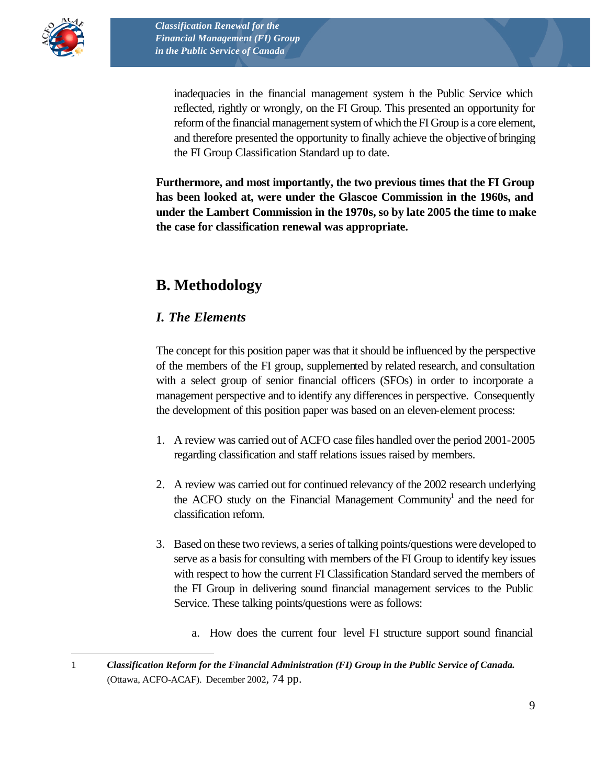

 $\overline{a}$ 

inadequacies in the financial management system in the Public Service which reflected, rightly or wrongly, on the FI Group. This presented an opportunity for reform of the financial management system of which the FI Group is a core element, and therefore presented the opportunity to finally achieve the objective of bringing the FI Group Classification Standard up to date.

**Furthermore, and most importantly, the two previous times that the FI Group has been looked at, were under the Glascoe Commission in the 1960s, and under the Lambert Commission in the 1970s, so by late 2005 the time to make the case for classification renewal was appropriate.**

# **B. Methodology**

### *I. The Elements*

The concept for this position paper was that it should be influenced by the perspective of the members of the FI group, supplemented by related research, and consultation with a select group of senior financial officers (SFOs) in order to incorporate a management perspective and to identify any differences in perspective. Consequently the development of this position paper was based on an eleven-element process:

- 1. A review was carried out of ACFO case files handled over the period 2001-2005 regarding classification and staff relations issues raised by members.
- 2. A review was carried out for continued relevancy of the 2002 research underlying the ACFO study on the Financial Management Community<sup>1</sup> and the need for classification reform.
- 3. Based on these two reviews, a series of talking points/questions were developed to serve as a basis for consulting with members of the FI Group to identify key issues with respect to how the current FI Classification Standard served the members of the FI Group in delivering sound financial management services to the Public Service. These talking points/questions were as follows:
	- a. How does the current four level FI structure support sound financial

<sup>1</sup> *Classification Reform for the Financial Administration (FI) Group in the Public Service of Canada.* (Ottawa, ACFO-ACAF). December 2002, 74 pp.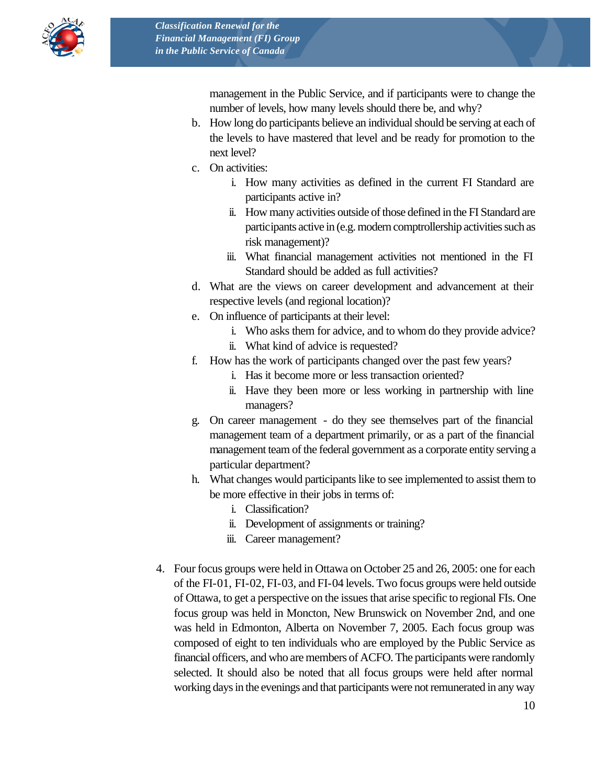

management in the Public Service, and if participants were to change the number of levels, how many levels should there be, and why?

- b. How long do participants believe an individual should be serving at each of the levels to have mastered that level and be ready for promotion to the next level?
- c. On activities:
	- i. How many activities as defined in the current FI Standard are participants active in?
	- ii. How many activities outside of those defined in the FI Standard are participants active in (e.g. modern comptrollership activities such as risk management)?
	- iii. What financial management activities not mentioned in the FI Standard should be added as full activities?
- d. What are the views on career development and advancement at their respective levels (and regional location)?
- e. On influence of participants at their level:
	- i. Who asks them for advice, and to whom do they provide advice?
	- ii. What kind of advice is requested?
- f. How has the work of participants changed over the past few years?
	- i. Has it become more or less transaction oriented?
	- ii. Have they been more or less working in partnership with line managers?
- g. On career management do they see themselves part of the financial management team of a department primarily, or as a part of the financial management team of the federal government as a corporate entity serving a particular department?
- h. What changes would participants like to see implemented to assist them to be more effective in their jobs in terms of:
	- i. Classification?
	- ii. Development of assignments or training?
	- iii. Career management?
- 4. Four focus groups were held in Ottawa on October 25 and 26, 2005: one for each of the FI-01, FI-02, FI-03, and FI-04 levels. Two focus groups were held outside of Ottawa, to get a perspective on the issues that arise specific to regional FIs. One focus group was held in Moncton, New Brunswick on November 2nd, and one was held in Edmonton, Alberta on November 7, 2005. Each focus group was composed of eight to ten individuals who are employed by the Public Service as financial officers, and who are members of ACFO. The participants were randomly selected. It should also be noted that all focus groups were held after normal working days in the evenings and that participants were not remunerated in any way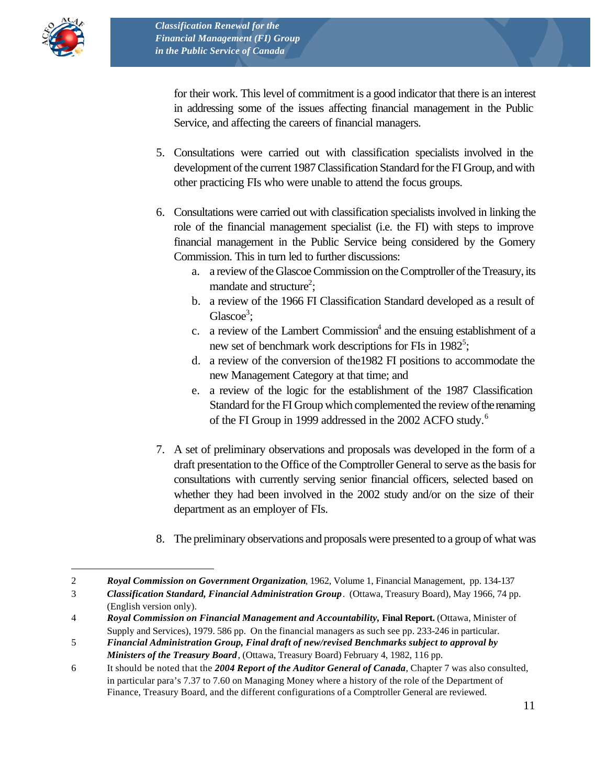

 $\overline{a}$ 

for their work. This level of commitment is a good indicator that there is an interest in addressing some of the issues affecting financial management in the Public Service, and affecting the careers of financial managers.

- 5. Consultations were carried out with classification specialists involved in the development of the current 1987 Classification Standard for the FI Group, and with other practicing FIs who were unable to attend the focus groups.
- 6. Consultations were carried out with classification specialists involved in linking the role of the financial management specialist (i.e. the FI) with steps to improve financial management in the Public Service being considered by the Gomery Commission. This in turn led to further discussions:
	- a. a review of the Glascoe Commission on the Comptroller of the Treasury, its mandate and structure<sup>2</sup>;
	- b. a review of the 1966 FI Classification Standard developed as a result of Glascoe<sup>3</sup>;
	- c. a review of the Lambert Commission<sup>4</sup> and the ensuing establishment of a new set of benchmark work descriptions for FIs in 1982<sup>5</sup>;
	- d. a review of the conversion of the1982 FI positions to accommodate the new Management Category at that time; and
	- e. a review of the logic for the establishment of the 1987 Classification Standard for the FI Group which complemented the review of the renaming of the FI Group in 1999 addressed in the 2002 ACFO study.<sup>6</sup>
- 7. A set of preliminary observations and proposals was developed in the form of a draft presentation to the Office of the Comptroller General to serve as the basis for consultations with currently serving senior financial officers, selected based on whether they had been involved in the 2002 study and/or on the size of their department as an employer of FIs.
- 8. The preliminary observations and proposals were presented to a group of what was

<sup>2</sup> *Royal Commission on Government Organization*, 1962, Volume 1, Financial Management, pp. 134-137

<sup>3</sup> *Classification Standard, Financial Administration Group*. (Ottawa, Treasury Board), May 1966, 74 pp. (English version only).

<sup>4</sup> *Royal Commission on Financial Management and Accountability,* **Final Report.** (Ottawa, Minister of Supply and Services), 1979. 586 pp. On the financial managers as such see pp. 233-246 in particular.

<sup>5</sup> *Financial Administration Group, Final draft of new/revised Benchmarks subject to approval by Ministers of the Treasury Board*, (Ottawa, Treasury Board) February 4, 1982, 116 pp.

<sup>6</sup> It should be noted that the *2004 Report of the Auditor General of Canada*, Chapter 7 was also consulted, in particular para's 7.37 to 7.60 on Managing Money where a history of the role of the Department of Finance, Treasury Board, and the different configurations of a Comptroller General are reviewed.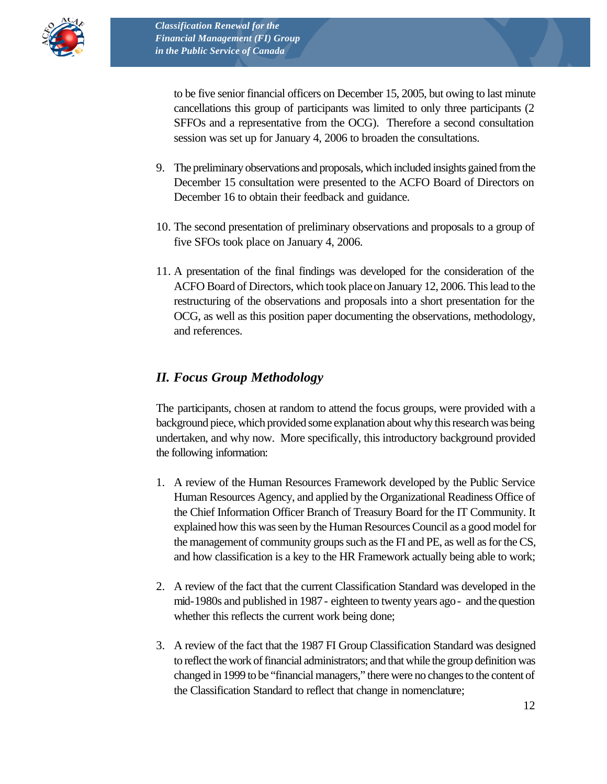

to be five senior financial officers on December 15, 2005, but owing to last minute cancellations this group of participants was limited to only three participants (2 SFFOs and a representative from the OCG). Therefore a second consultation session was set up for January 4, 2006 to broaden the consultations.

- 9. The preliminary observations and proposals, which included insights gained from the December 15 consultation were presented to the ACFO Board of Directors on December 16 to obtain their feedback and guidance.
- 10. The second presentation of preliminary observations and proposals to a group of five SFOs took place on January 4, 2006.
- 11. A presentation of the final findings was developed for the consideration of the ACFO Board of Directors, which took place on January 12, 2006. This lead to the restructuring of the observations and proposals into a short presentation for the OCG, as well as this position paper documenting the observations, methodology, and references.

#### *II. Focus Group Methodology*

The participants, chosen at random to attend the focus groups, were provided with a background piece, which provided some explanation about why this research was being undertaken, and why now. More specifically, this introductory background provided the following information:

- 1. A review of the Human Resources Framework developed by the Public Service Human Resources Agency, and applied by the Organizational Readiness Office of the Chief Information Officer Branch of Treasury Board for the IT Community. It explained how this was seen by the Human Resources Council as a good model for the management of community groups such as the FI and PE, as well as for the CS, and how classification is a key to the HR Framework actually being able to work;
- 2. A review of the fact that the current Classification Standard was developed in the mid-1980s and published in 1987 - eighteen to twenty years ago - and the question whether this reflects the current work being done;
- 3. A review of the fact that the 1987 FI Group Classification Standard was designed to reflect the work of financial administrators; and that while the group definition was changed in 1999 to be "financial managers," there were no changes to the content of the Classification Standard to reflect that change in nomenclature;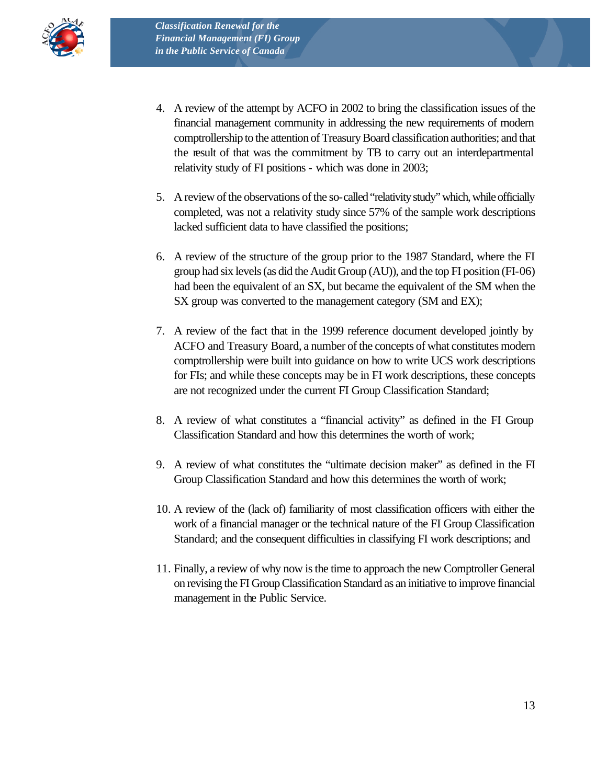

- 4. A review of the attempt by ACFO in 2002 to bring the classification issues of the financial management community in addressing the new requirements of modern comptrollership to the attention of Treasury Board classification authorities; and that the result of that was the commitment by TB to carry out an interdepartmental relativity study of FI positions - which was done in 2003;
- 5. A review of the observations of the so-called "relativity study" which, while officially completed, was not a relativity study since 57% of the sample work descriptions lacked sufficient data to have classified the positions;
- 6. A review of the structure of the group prior to the 1987 Standard, where the FI group had six levels (as did the Audit Group (AU)), and the top FI position (FI-06) had been the equivalent of an SX, but became the equivalent of the SM when the SX group was converted to the management category (SM and EX);
- 7. A review of the fact that in the 1999 reference document developed jointly by ACFO and Treasury Board, a number of the concepts of what constitutes modern comptrollership were built into guidance on how to write UCS work descriptions for FIs; and while these concepts may be in FI work descriptions, these concepts are not recognized under the current FI Group Classification Standard;
- 8. A review of what constitutes a "financial activity" as defined in the FI Group Classification Standard and how this determines the worth of work;
- 9. A review of what constitutes the "ultimate decision maker" as defined in the FI Group Classification Standard and how this determines the worth of work;
- 10. A review of the (lack of) familiarity of most classification officers with either the work of a financial manager or the technical nature of the FI Group Classification Standard; and the consequent difficulties in classifying FI work descriptions; and
- 11. Finally, a review of why now is the time to approach the new Comptroller General on revising the FI Group Classification Standard as an initiative to improve financial management in the Public Service.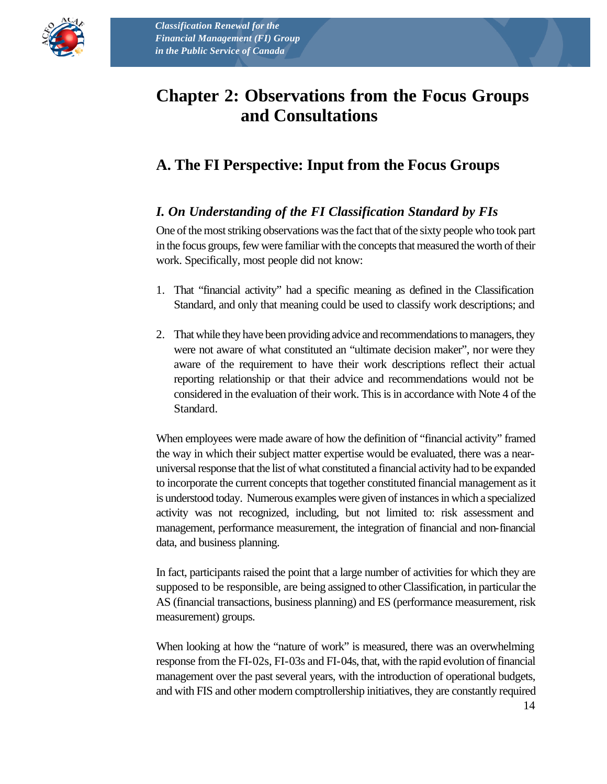

# **Chapter 2: Observations from the Focus Groups and Consultations**

# **A. The FI Perspective: Input from the Focus Groups**

### *I. On Understanding of the FI Classification Standard by FIs*

One of the most striking observations was the fact that of the sixty people who took part in the focus groups, few were familiar with the concepts that measured the worth of their work. Specifically, most people did not know:

- 1. That "financial activity" had a specific meaning as defined in the Classification Standard, and only that meaning could be used to classify work descriptions; and
- 2. That while they have been providing advice and recommendations to managers, they were not aware of what constituted an "ultimate decision maker", nor were they aware of the requirement to have their work descriptions reflect their actual reporting relationship or that their advice and recommendations would not be considered in the evaluation of their work. This is in accordance with Note 4 of the Standard.

When employees were made aware of how the definition of "financial activity" framed the way in which their subject matter expertise would be evaluated, there was a nearuniversal response that the list of what constituted a financial activity had to be expanded to incorporate the current concepts that together constituted financial management as it is understood today. Numerous examples were given of instances in which a specialized activity was not recognized, including, but not limited to: risk assessment and management, performance measurement, the integration of financial and non-financial data, and business planning.

In fact, participants raised the point that a large number of activities for which they are supposed to be responsible, are being assigned to other Classification, in particular the AS (financial transactions, business planning) and ES (performance measurement, risk measurement) groups.

When looking at how the "nature of work" is measured, there was an overwhelming response from the FI-02s, FI-03s and FI-04s, that, with the rapid evolution of financial management over the past several years, with the introduction of operational budgets, and with FIS and other modern comptrollership initiatives, they are constantly required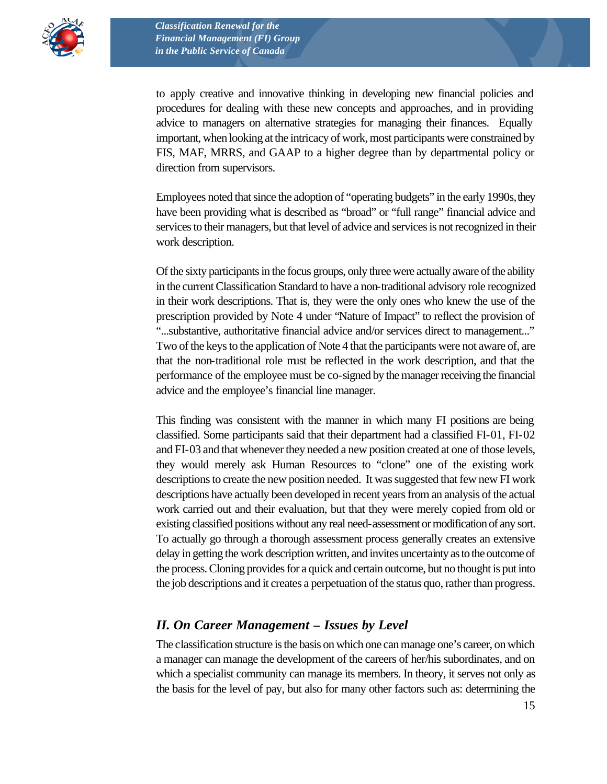

to apply creative and innovative thinking in developing new financial policies and procedures for dealing with these new concepts and approaches, and in providing advice to managers on alternative strategies for managing their finances. Equally important, when looking at the intricacy of work, most participants were constrained by FIS, MAF, MRRS, and GAAP to a higher degree than by departmental policy or direction from supervisors.

Employees noted that since the adoption of "operating budgets" in the early 1990s, they have been providing what is described as "broad" or "full range" financial advice and services to their managers, but that level of advice and services is not recognized in their work description.

Of the sixty participants in the focus groups, only three were actually aware of the ability in the current Classification Standard to have a non-traditional advisory role recognized in their work descriptions. That is, they were the only ones who knew the use of the prescription provided by Note 4 under "Nature of Impact" to reflect the provision of "...substantive, authoritative financial advice and/or services direct to management..." Two of the keys to the application of Note 4 that the participants were not aware of, are that the non-traditional role must be reflected in the work description, and that the performance of the employee must be co-signed by the manager receiving the financial advice and the employee's financial line manager.

This finding was consistent with the manner in which many FI positions are being classified. Some participants said that their department had a classified FI-01, FI-02 and FI-03 and that whenever they needed a new position created at one of those levels, they would merely ask Human Resources to "clone" one of the existing work descriptions to create the new position needed. It was suggested that few new FI work descriptions have actually been developed in recent years from an analysis of the actual work carried out and their evaluation, but that they were merely copied from old or existing classified positions without any real need-assessment or modification of any sort. To actually go through a thorough assessment process generally creates an extensive delay in getting the work description written, and invites uncertainty as to the outcome of the process. Cloning provides for a quick and certain outcome, but no thought is put into the job descriptions and it creates a perpetuation of the status quo, rather than progress.

#### *II. On Career Management – Issues by Level*

The classification structure is the basis on which one can manage one's career, on which a manager can manage the development of the careers of her/his subordinates, and on which a specialist community can manage its members. In theory, it serves not only as the basis for the level of pay, but also for many other factors such as: determining the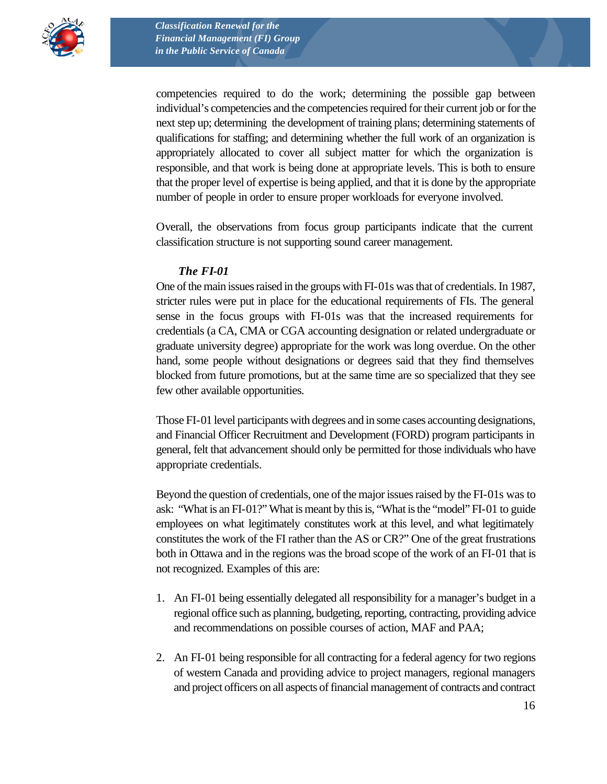

competencies required to do the work; determining the possible gap between individual's competencies and the competencies required for their current job or for the next step up; determining the development of training plans; determining statements of qualifications for staffing; and determining whether the full work of an organization is appropriately allocated to cover all subject matter for which the organization is responsible, and that work is being done at appropriate levels. This is both to ensure that the proper level of expertise is being applied, and that it is done by the appropriate number of people in order to ensure proper workloads for everyone involved.

Overall, the observations from focus group participants indicate that the current classification structure is not supporting sound career management.

#### *The FI-01*

One of the main issues raised in the groups with FI-01s was that of credentials. In 1987, stricter rules were put in place for the educational requirements of FIs. The general sense in the focus groups with FI-01s was that the increased requirements for credentials (a CA, CMA or CGA accounting designation or related undergraduate or graduate university degree) appropriate for the work was long overdue. On the other hand, some people without designations or degrees said that they find themselves blocked from future promotions, but at the same time are so specialized that they see few other available opportunities.

Those FI-01 level participants with degrees and in some cases accounting designations, and Financial Officer Recruitment and Development (FORD) program participants in general, felt that advancement should only be permitted for those individuals who have appropriate credentials.

Beyond the question of credentials, one of the major issues raised by the FI-01s was to ask: "What is an FI-01?" What is meant by this is, "What is the "model" FI-01 to guide employees on what legitimately constitutes work at this level, and what legitimately constitutes the work of the FI rather than the AS or CR?" One of the great frustrations both in Ottawa and in the regions was the broad scope of the work of an FI-01 that is not recognized. Examples of this are:

- 1. An FI-01 being essentially delegated all responsibility for a manager's budget in a regional office such as planning, budgeting, reporting, contracting, providing advice and recommendations on possible courses of action, MAF and PAA;
- 2. An FI-01 being responsible for all contracting for a federal agency for two regions of western Canada and providing advice to project managers, regional managers and project officers on all aspects of financial management of contracts and contract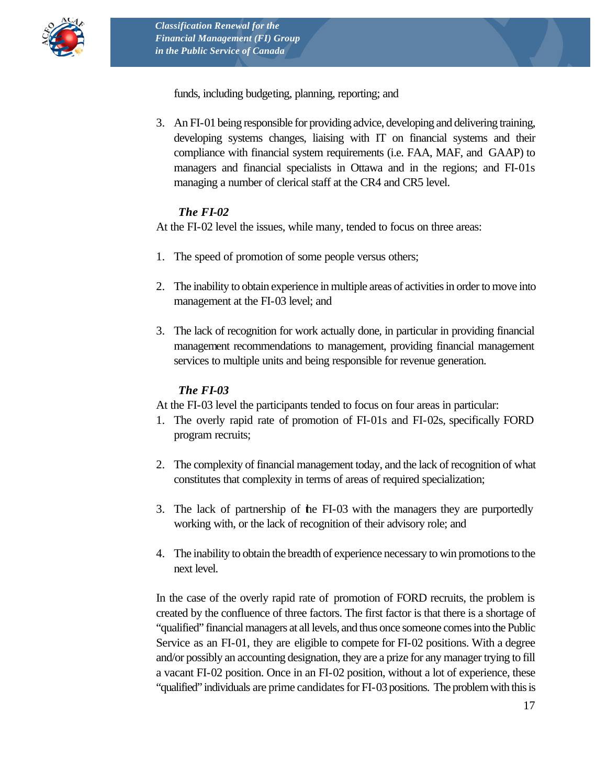

funds, including budgeting, planning, reporting; and

3. An FI-01 being responsible for providing advice, developing and delivering training, developing systems changes, liaising with IT on financial systems and their compliance with financial system requirements (i.e. FAA, MAF, and GAAP) to managers and financial specialists in Ottawa and in the regions; and FI-01s managing a number of clerical staff at the CR4 and CR5 level.

#### *The FI-02*

At the FI-02 level the issues, while many, tended to focus on three areas:

- 1. The speed of promotion of some people versus others;
- 2. The inability to obtain experience in multiple areas of activities in order to move into management at the FI-03 level; and
- 3. The lack of recognition for work actually done, in particular in providing financial management recommendations to management, providing financial management services to multiple units and being responsible for revenue generation.

#### *The FI-03*

At the FI-03 level the participants tended to focus on four areas in particular:

- 1. The overly rapid rate of promotion of FI-01s and FI-02s, specifically FORD program recruits;
- 2. The complexity of financial management today, and the lack of recognition of what constitutes that complexity in terms of areas of required specialization;
- 3. The lack of partnership of the FI-03 with the managers they are purportedly working with, or the lack of recognition of their advisory role; and
- 4. The inability to obtain the breadth of experience necessary to win promotions to the next level.

In the case of the overly rapid rate of promotion of FORD recruits, the problem is created by the confluence of three factors. The first factor is that there is a shortage of "qualified" financial managers at all levels, and thus once someone comes into the Public Service as an FI-01, they are eligible to compete for FI-02 positions. With a degree and/or possibly an accounting designation, they are a prize for any manager trying to fill a vacant FI-02 position. Once in an FI-02 position, without a lot of experience, these "qualified" individuals are prime candidates for FI-03 positions. The problem with this is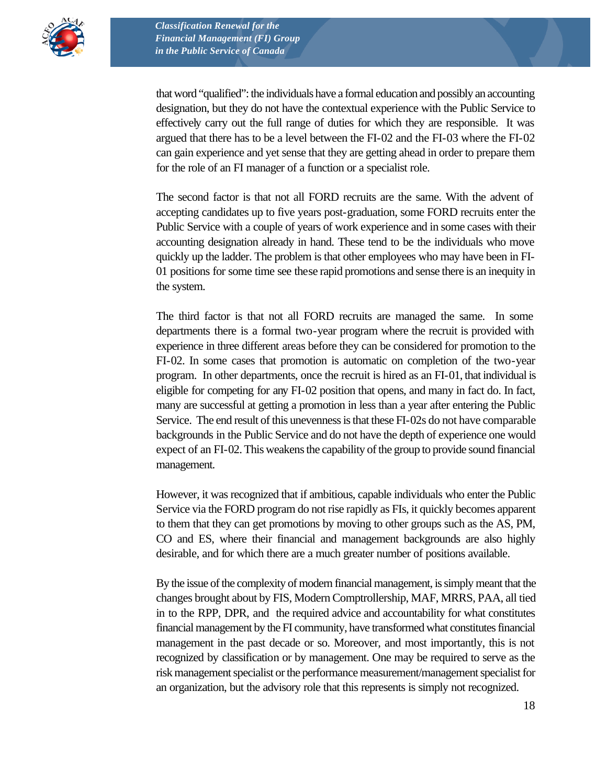

that word "qualified": the individuals have a formal education and possibly an accounting designation, but they do not have the contextual experience with the Public Service to effectively carry out the full range of duties for which they are responsible. It was argued that there has to be a level between the FI-02 and the FI-03 where the FI-02 can gain experience and yet sense that they are getting ahead in order to prepare them for the role of an FI manager of a function or a specialist role.

The second factor is that not all FORD recruits are the same. With the advent of accepting candidates up to five years post-graduation, some FORD recruits enter the Public Service with a couple of years of work experience and in some cases with their accounting designation already in hand. These tend to be the individuals who move quickly up the ladder. The problem is that other employees who may have been in FI-01 positions for some time see these rapid promotions and sense there is an inequity in the system.

The third factor is that not all FORD recruits are managed the same. In some departments there is a formal two-year program where the recruit is provided with experience in three different areas before they can be considered for promotion to the FI-02. In some cases that promotion is automatic on completion of the two-year program. In other departments, once the recruit is hired as an FI-01, that individual is eligible for competing for any FI-02 position that opens, and many in fact do. In fact, many are successful at getting a promotion in less than a year after entering the Public Service. The end result of this unevenness is that these FI-02s do not have comparable backgrounds in the Public Service and do not have the depth of experience one would expect of an FI-02. This weakens the capability of the group to provide sound financial management.

However, it was recognized that if ambitious, capable individuals who enter the Public Service via the FORD program do not rise rapidly as FIs, it quickly becomes apparent to them that they can get promotions by moving to other groups such as the AS, PM, CO and ES, where their financial and management backgrounds are also highly desirable, and for which there are a much greater number of positions available.

By the issue of the complexity of modern financial management, is simply meant that the changes brought about by FIS, Modern Comptrollership, MAF, MRRS, PAA, all tied in to the RPP, DPR, and the required advice and accountability for what constitutes financial management by the FI community, have transformed what constitutes financial management in the past decade or so. Moreover, and most importantly, this is not recognized by classification or by management. One may be required to serve as the risk management specialist or the performance measurement/management specialist for an organization, but the advisory role that this represents is simply not recognized.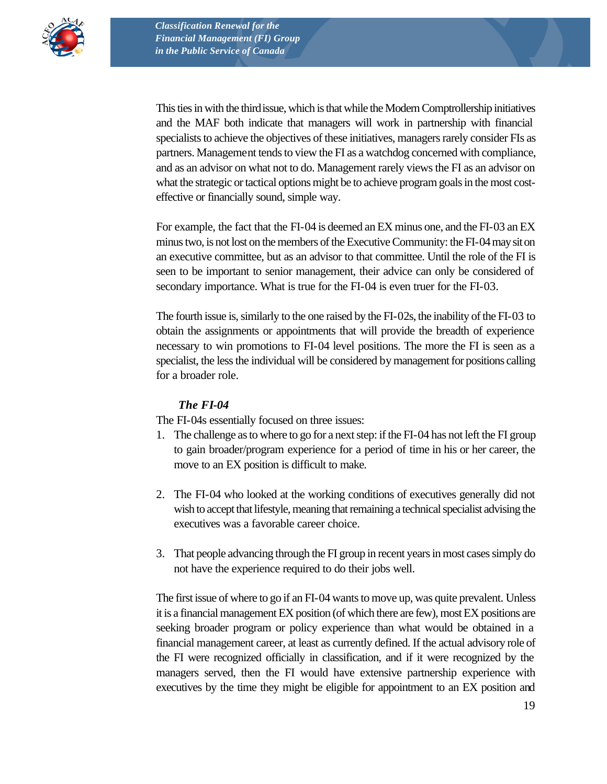

This ties in with the third issue, which is that while the Modern Comptrollership initiatives and the MAF both indicate that managers will work in partnership with financial specialists to achieve the objectives of these initiatives, managers rarely consider FIs as partners. Management tends to view the FI as a watchdog concerned with compliance, and as an advisor on what not to do. Management rarely views the FI as an advisor on what the strategic or tactical options might be to achieve program goals in the most costeffective or financially sound, simple way.

For example, the fact that the FI-04 is deemed an EX minus one, and the FI-03 an EX minus two, is not lost on the members of the Executive Community: the FI-04 may sit on an executive committee, but as an advisor to that committee. Until the role of the FI is seen to be important to senior management, their advice can only be considered of secondary importance. What is true for the FI-04 is even truer for the FI-03.

The fourth issue is, similarly to the one raised by the FI-02s, the inability of the FI-03 to obtain the assignments or appointments that will provide the breadth of experience necessary to win promotions to FI-04 level positions. The more the FI is seen as a specialist, the less the individual will be considered by management for positions calling for a broader role.

#### *The FI-04*

The FI-04s essentially focused on three issues:

- 1. The challenge as to where to go for a next step: if the FI-04 has not left the FI group to gain broader/program experience for a period of time in his or her career, the move to an EX position is difficult to make.
- 2. The FI-04 who looked at the working conditions of executives generally did not wish to accept that lifestyle, meaning that remaining a technical specialist advising the executives was a favorable career choice.
- 3. That people advancing through the FI group in recent years in most cases simply do not have the experience required to do their jobs well.

The first issue of where to go if an FI-04 wants to move up, was quite prevalent. Unless it is a financial management EX position (of which there are few), most EX positions are seeking broader program or policy experience than what would be obtained in a financial management career, at least as currently defined. If the actual advisory role of the FI were recognized officially in classification, and if it were recognized by the managers served, then the FI would have extensive partnership experience with executives by the time they might be eligible for appointment to an EX position and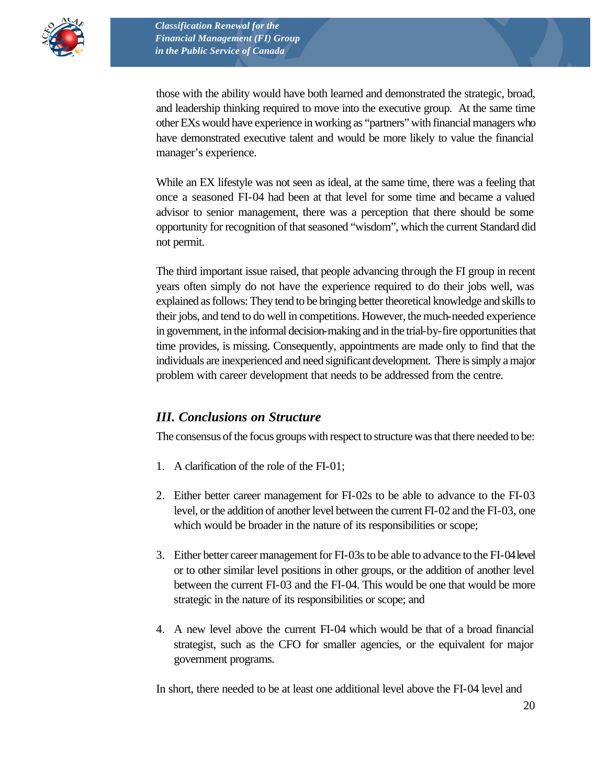

those with the ability would have both learned and demonstrated the strategic, broad, and leadership thinking required to move into the executive group. At the same time other EXs would have experience in working as "partners" with financial managers who have demonstrated executive talent and would be more likely to value the financial manager's experience.

While an EX lifestyle was not seen as ideal, at the same time, there was a feeling that once a seasoned FI-04 had been at that level for some time and became a valued advisor to senior management, there was a perception that there should be some opportunity for recognition of that seasoned "wisdom", which the current Standard did not permit.

The third important issue raised, that people advancing through the FI group in recent years often simply do not have the experience required to do their jobs well, was explained as follows: They tend to be bringing better theoretical knowledge and skills to their jobs, and tend to do well in competitions. However, the much-needed experience in government, in the informal decision-making and in the trial-by-fire opportunities that time provides, is missing. Consequently, appointments are made only to find that the individuals are inexperienced and need significant development. There is simply a major problem with career development that needs to be addressed from the centre.

#### *III. Conclusions on Structure*

The consensus of the focus groups with respect to structure was that there needed to be:

- 1. A clarification of the role of the FI-01;
- 2. Either better career management for FI-02s to be able to advance to the FI-03 level, or the addition of another level between the current FI-02 and the FI-03, one which would be broader in the nature of its responsibilities or scope;
- 3. Either better career management for FI-03s to be able to advance to the FI-04 level or to other similar level positions in other groups, or the addition of another level between the current FI-03 and the FI-04. This would be one that would be more strategic in the nature of its responsibilities or scope; and
- 4. A new level above the current FI-04 which would be that of a broad financial strategist, such as the CFO for smaller agencies, or the equivalent for major government programs.

In short, there needed to be at least one additional level above the FI-04 level and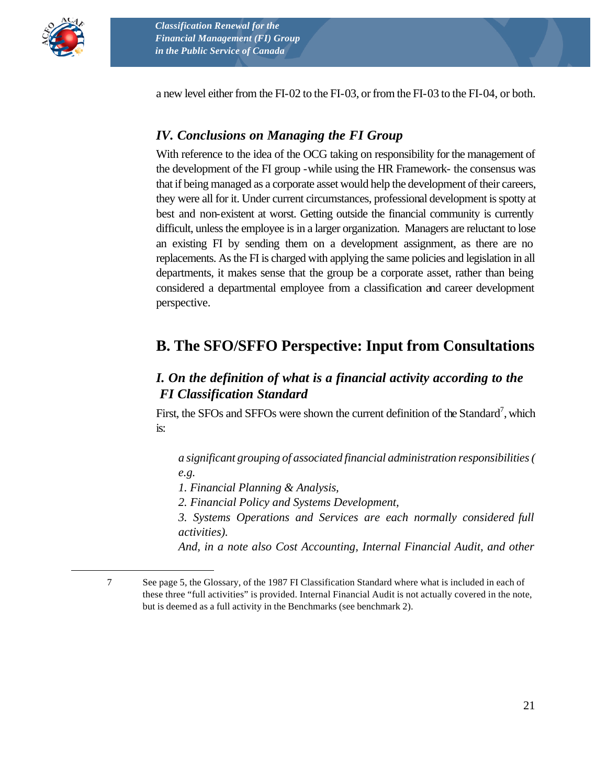

 $\overline{a}$ 

a new level either from the FI-02 to the FI-03, or from the FI-03 to the FI-04, or both.

#### *IV. Conclusions on Managing the FI Group*

With reference to the idea of the OCG taking on responsibility for the management of the development of the FI group -while using the HR Framework- the consensus was that if being managed as a corporate asset would help the development of their careers, they were all for it. Under current circumstances, professional development is spotty at best and non-existent at worst. Getting outside the financial community is currently difficult, unless the employee is in a larger organization. Managers are reluctant to lose an existing FI by sending them on a development assignment, as there are no replacements. As the FI is charged with applying the same policies and legislation in all departments, it makes sense that the group be a corporate asset, rather than being considered a departmental employee from a classification and career development perspective.

### **B. The SFO/SFFO Perspective: Input from Consultations**

#### *I. On the definition of what is a financial activity according to the FI Classification Standard*

First, the SFOs and SFFOs were shown the current definition of the Standard<sup>7</sup>, which is:

*a significant grouping of associated financial administration responsibilities ( e.g.* 

*1. Financial Planning & Analysis,* 

*2. Financial Policy and Systems Development,* 

*3. Systems Operations and Services are each normally considered full activities).* 

*And, in a note also Cost Accounting, Internal Financial Audit, and other* 

<sup>7</sup> See page 5, the Glossary, of the 1987 FI Classification Standard where what is included in each of these three "full activities" is provided. Internal Financial Audit is not actually covered in the note, but is deemed as a full activity in the Benchmarks (see benchmark 2).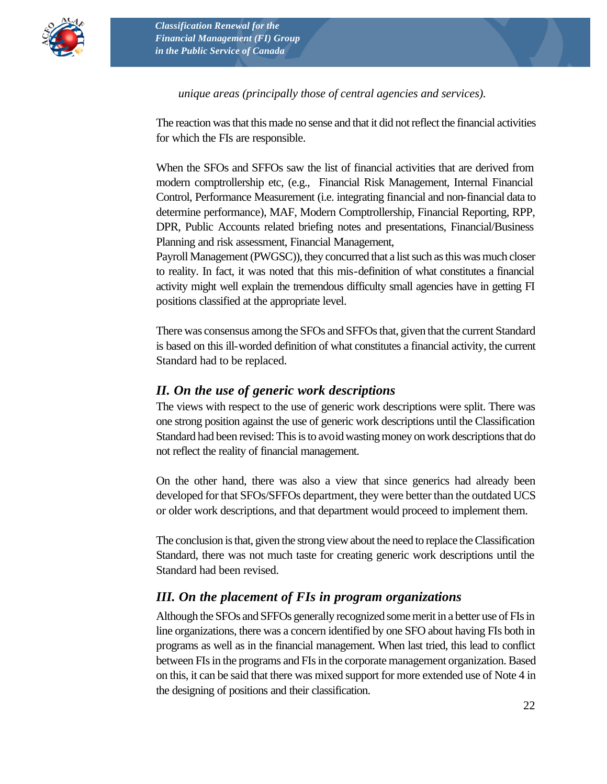

#### *unique areas (principally those of central agencies and services).*

The reaction was that this made no sense and that it did not reflect the financial activities for which the FIs are responsible.

When the SFOs and SFFOs saw the list of financial activities that are derived from modern comptrollership etc, (e.g., Financial Risk Management, Internal Financial Control, Performance Measurement (i.e. integrating financial and non-financial data to determine performance), MAF, Modern Comptrollership, Financial Reporting, RPP, DPR, Public Accounts related briefing notes and presentations, Financial/Business Planning and risk assessment, Financial Management,

Payroll Management (PWGSC)), they concurred that a list such as this was much closer to reality. In fact, it was noted that this mis-definition of what constitutes a financial activity might well explain the tremendous difficulty small agencies have in getting FI positions classified at the appropriate level.

There was consensus among the SFOs and SFFOs that, given that the current Standard is based on this ill-worded definition of what constitutes a financial activity, the current Standard had to be replaced.

#### *II. On the use of generic work descriptions*

The views with respect to the use of generic work descriptions were split. There was one strong position against the use of generic work descriptions until the Classification Standard had been revised: This is to avoid wasting money on work descriptions that do not reflect the reality of financial management.

On the other hand, there was also a view that since generics had already been developed for that SFOs/SFFOs department, they were better than the outdated UCS or older work descriptions, and that department would proceed to implement them.

The conclusion is that, given the strong view about the need to replace the Classification Standard, there was not much taste for creating generic work descriptions until the Standard had been revised.

#### *III. On the placement of FIs in program organizations*

Although the SFOs and SFFOs generally recognized some merit in a better use of FIs in line organizations, there was a concern identified by one SFO about having FIs both in programs as well as in the financial management. When last tried, this lead to conflict between FIs in the programs and FIs in the corporate management organization. Based on this, it can be said that there was mixed support for more extended use of Note 4 in the designing of positions and their classification.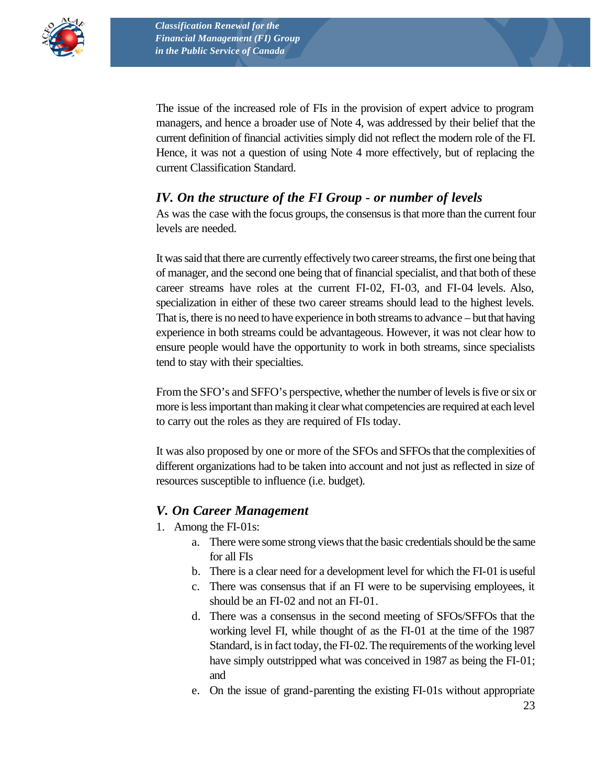

The issue of the increased role of FIs in the provision of expert advice to program managers, and hence a broader use of Note 4, was addressed by their belief that the current definition of financial activities simply did not reflect the modern role of the FI. Hence, it was not a question of using Note 4 more effectively, but of replacing the current Classification Standard.

#### *IV. On the structure of the FI Group - or number of levels*

As was the case with the focus groups, the consensus is that more than the current four levels are needed.

It was said that there are currently effectively two career streams, the first one being that of manager, and the second one being that of financial specialist, and that both of these career streams have roles at the current FI-02, FI-03, and FI-04 levels. Also, specialization in either of these two career streams should lead to the highest levels. That is, there is no need to have experience in both streams to advance – but that having experience in both streams could be advantageous. However, it was not clear how to ensure people would have the opportunity to work in both streams, since specialists tend to stay with their specialties.

From the SFO's and SFFO's perspective, whether the number of levels is five or six or more is less important than making it clear what competencies are required at each level to carry out the roles as they are required of FIs today.

It was also proposed by one or more of the SFOs and SFFOs that the complexities of different organizations had to be taken into account and not just as reflected in size of resources susceptible to influence (i.e. budget).

#### *V. On Career Management*

- 1. Among the FI-01s:
	- a. There were some strong views that the basic credentials should be the same for all FIs
	- b. There is a clear need for a development level for which the FI-01 is useful
	- c. There was consensus that if an FI were to be supervising employees, it should be an FI-02 and not an FI-01.
	- d. There was a consensus in the second meeting of SFOs/SFFOs that the working level FI, while thought of as the FI-01 at the time of the 1987 Standard, is in fact today, the FI-02. The requirements of the working level have simply outstripped what was conceived in 1987 as being the FI-01; and
	- e. On the issue of grand-parenting the existing FI-01s without appropriate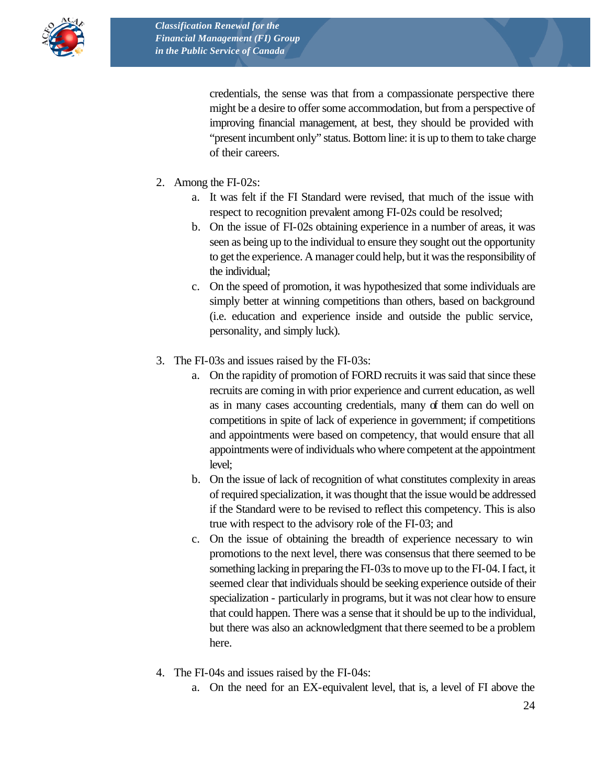

credentials, the sense was that from a compassionate perspective there might be a desire to offer some accommodation, but from a perspective of improving financial management, at best, they should be provided with "present incumbent only" status. Bottom line: it is up to them to take charge of their careers.

- 2. Among the FI-02s:
	- a. It was felt if the FI Standard were revised, that much of the issue with respect to recognition prevalent among FI-02s could be resolved;
	- b. On the issue of FI-02s obtaining experience in a number of areas, it was seen as being up to the individual to ensure they sought out the opportunity to get the experience. A manager could help, but it was the responsibility of the individual;
	- c. On the speed of promotion, it was hypothesized that some individuals are simply better at winning competitions than others, based on background (i.e. education and experience inside and outside the public service, personality, and simply luck).
- 3. The FI-03s and issues raised by the FI-03s:
	- a. On the rapidity of promotion of FORD recruits it was said that since these recruits are coming in with prior experience and current education, as well as in many cases accounting credentials, many of them can do well on competitions in spite of lack of experience in government; if competitions and appointments were based on competency, that would ensure that all appointments were of individuals who where competent at the appointment level;
	- b. On the issue of lack of recognition of what constitutes complexity in areas of required specialization, it was thought that the issue would be addressed if the Standard were to be revised to reflect this competency. This is also true with respect to the advisory role of the FI-03; and
	- c. On the issue of obtaining the breadth of experience necessary to win promotions to the next level, there was consensus that there seemed to be something lacking in preparing the FI-03s to move up to the FI-04. I fact, it seemed clear that individuals should be seeking experience outside of their specialization - particularly in programs, but it was not clear how to ensure that could happen. There was a sense that it should be up to the individual, but there was also an acknowledgment that there seemed to be a problem here.
- 4. The FI-04s and issues raised by the FI-04s:
	- a. On the need for an EX-equivalent level, that is, a level of FI above the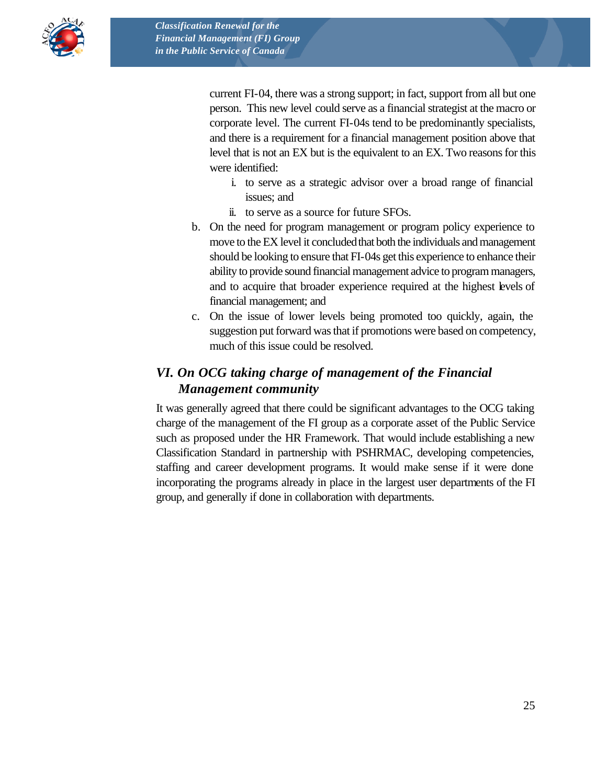

current FI-04, there was a strong support; in fact, support from all but one person. This new level could serve as a financial strategist at the macro or corporate level. The current FI-04s tend to be predominantly specialists, and there is a requirement for a financial management position above that level that is not an EX but is the equivalent to an EX. Two reasons for this were identified:

- i. to serve as a strategic advisor over a broad range of financial issues; and
- ii. to serve as a source for future SFOs.
- b. On the need for program management or program policy experience to move to the EX level it concluded that both the individuals and management should be looking to ensure that FI-04s get this experience to enhance their ability to provide sound financial management advice to program managers, and to acquire that broader experience required at the highest levels of financial management; and
- c. On the issue of lower levels being promoted too quickly, again, the suggestion put forward was that if promotions were based on competency, much of this issue could be resolved.

### *VI. On OCG taking charge of management of the Financial Management community*

It was generally agreed that there could be significant advantages to the OCG taking charge of the management of the FI group as a corporate asset of the Public Service such as proposed under the HR Framework. That would include establishing a new Classification Standard in partnership with PSHRMAC, developing competencies, staffing and career development programs. It would make sense if it were done incorporating the programs already in place in the largest user departments of the FI group, and generally if done in collaboration with departments.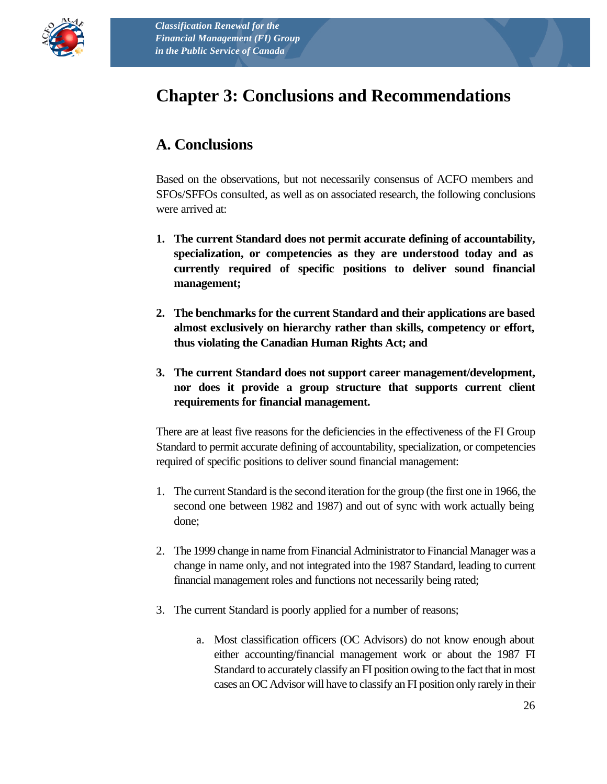

# **Chapter 3: Conclusions and Recommendations**

# **A. Conclusions**

Based on the observations, but not necessarily consensus of ACFO members and SFOs/SFFOs consulted, as well as on associated research, the following conclusions were arrived at:

- **1. The current Standard does not permit accurate defining of accountability, specialization, or competencies as they are understood today and as currently required of specific positions to deliver sound financial management;**
- **2. The benchmarks for the current Standard and their applications are based almost exclusively on hierarchy rather than skills, competency or effort, thus violating the Canadian Human Rights Act; and**
- **3. The current Standard does not support career management/development, nor does it provide a group structure that supports current client requirements for financial management.**

There are at least five reasons for the deficiencies in the effectiveness of the FI Group Standard to permit accurate defining of accountability, specialization, or competencies required of specific positions to deliver sound financial management:

- 1. The current Standard is the second iteration for the group (the first one in 1966, the second one between 1982 and 1987) and out of sync with work actually being done;
- 2. The 1999 change in name from Financial Administrator to Financial Manager was a change in name only, and not integrated into the 1987 Standard, leading to current financial management roles and functions not necessarily being rated;
- 3. The current Standard is poorly applied for a number of reasons;
	- a. Most classification officers (OC Advisors) do not know enough about either accounting/financial management work or about the 1987 FI Standard to accurately classify an FI position owing to the fact that in most cases an OC Advisor will have to classify an FI position only rarely in their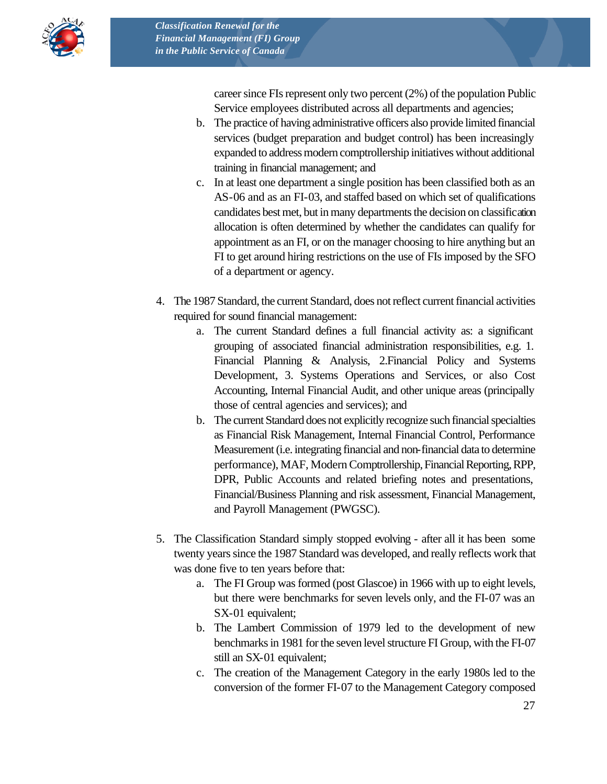

career since FIs represent only two percent (2%) of the population Public Service employees distributed across all departments and agencies;

- b. The practice of having administrative officers also provide limited financial services (budget preparation and budget control) has been increasingly expanded to address modern comptrollership initiatives without additional training in financial management; and
- c. In at least one department a single position has been classified both as an AS-06 and as an FI-03, and staffed based on which set of qualifications candidates best met, but in many departments the decision on classification allocation is often determined by whether the candidates can qualify for appointment as an FI, or on the manager choosing to hire anything but an FI to get around hiring restrictions on the use of FIs imposed by the SFO of a department or agency.
- 4. The 1987 Standard, the current Standard, does not reflect current financial activities required for sound financial management:
	- a. The current Standard defines a full financial activity as: a significant grouping of associated financial administration responsibilities, e.g. 1. Financial Planning & Analysis, 2.Financial Policy and Systems Development, 3. Systems Operations and Services, or also Cost Accounting, Internal Financial Audit, and other unique areas (principally those of central agencies and services); and
	- b. The current Standard does not explicitly recognize such financial specialties as Financial Risk Management, Internal Financial Control, Performance Measurement (i.e. integrating financial and non-financial data to determine performance), MAF, Modern Comptrollership, Financial Reporting, RPP, DPR, Public Accounts and related briefing notes and presentations, Financial/Business Planning and risk assessment, Financial Management, and Payroll Management (PWGSC).
- 5. The Classification Standard simply stopped evolving after all it has been some twenty years since the 1987 Standard was developed, and really reflects work that was done five to ten years before that:
	- a. The FI Group was formed (post Glascoe) in 1966 with up to eight levels, but there were benchmarks for seven levels only, and the FI-07 was an SX-01 equivalent;
	- b. The Lambert Commission of 1979 led to the development of new benchmarks in 1981 for the seven level structure FI Group, with the FI-07 still an SX-01 equivalent;
	- c. The creation of the Management Category in the early 1980s led to the conversion of the former FI-07 to the Management Category composed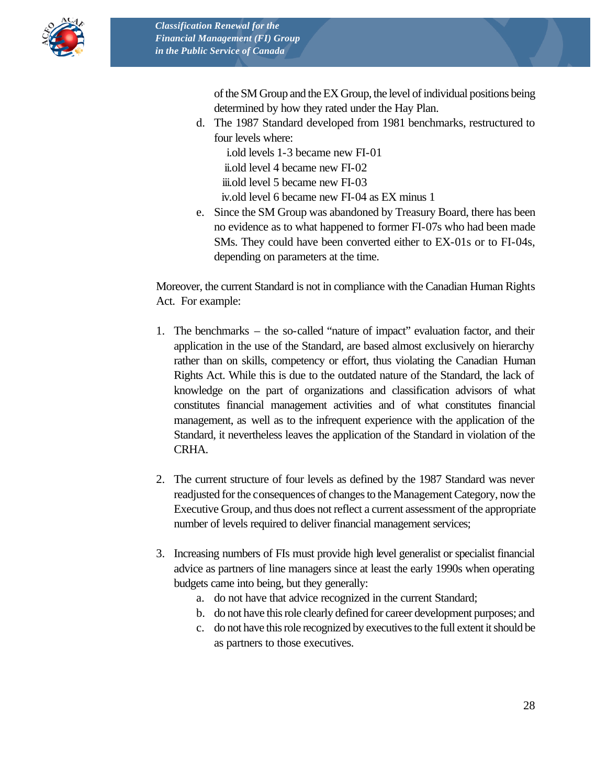

of the SM Group and the EX Group, the level of individual positions being determined by how they rated under the Hay Plan.

d. The 1987 Standard developed from 1981 benchmarks, restructured to four levels where:

i.old levels 1-3 became new FI-01 ii.old level 4 became new FI-02 iii.old level 5 became new FI-03

iv.old level 6 became new FI-04 as EX minus 1

e. Since the SM Group was abandoned by Treasury Board, there has been no evidence as to what happened to former FI-07s who had been made SMs. They could have been converted either to EX-01s or to FI-04s, depending on parameters at the time.

Moreover, the current Standard is not in compliance with the Canadian Human Rights Act. For example:

- 1. The benchmarks the so-called "nature of impact" evaluation factor, and their application in the use of the Standard, are based almost exclusively on hierarchy rather than on skills, competency or effort, thus violating the Canadian Human Rights Act. While this is due to the outdated nature of the Standard, the lack of knowledge on the part of organizations and classification advisors of what constitutes financial management activities and of what constitutes financial management, as well as to the infrequent experience with the application of the Standard, it nevertheless leaves the application of the Standard in violation of the CRHA.
- 2. The current structure of four levels as defined by the 1987 Standard was never readjusted for the consequences of changes to the Management Category, now the Executive Group, and thus does not reflect a current assessment of the appropriate number of levels required to deliver financial management services;
- 3. Increasing numbers of FIs must provide high level generalist or specialist financial advice as partners of line managers since at least the early 1990s when operating budgets came into being, but they generally:
	- a. do not have that advice recognized in the current Standard;
	- b. do not have this role clearly defined for career development purposes; and
	- c. do not have this role recognized by executives to the full extent it should be as partners to those executives.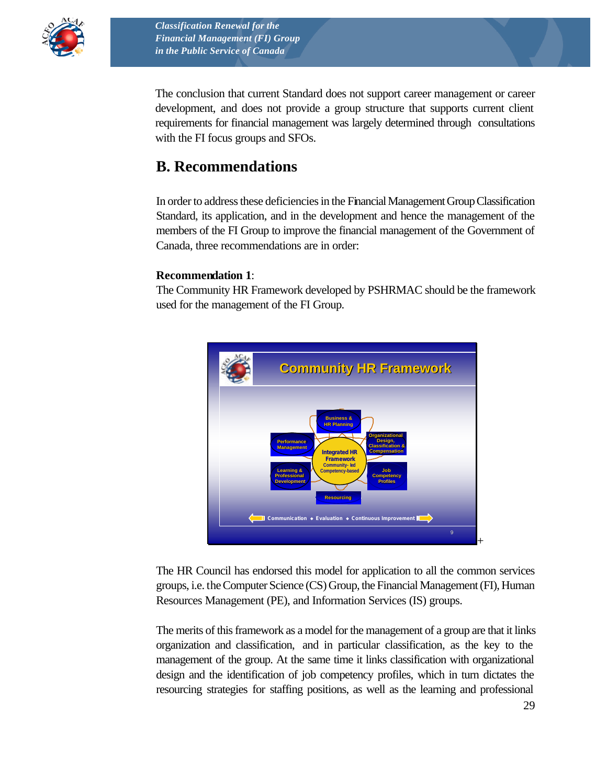

The conclusion that current Standard does not support career management or career development, and does not provide a group structure that supports current client requirements for financial management was largely determined through consultations with the FI focus groups and SFOs.

### **B. Recommendations**

In order to address these deficiencies in the Financial Management Group Classification Standard, its application, and in the development and hence the management of the members of the FI Group to improve the financial management of the Government of Canada, three recommendations are in order:

#### **Recommendation 1**:

The Community HR Framework developed by PSHRMAC should be the framework used for the management of the FI Group.



The HR Council has endorsed this model for application to all the common services groups, i.e. the Computer Science (CS) Group, the Financial Management (FI), Human Resources Management (PE), and Information Services (IS) groups.

The merits of this framework as a model for the management of a group are that it links organization and classification, and in particular classification, as the key to the management of the group. At the same time it links classification with organizational design and the identification of job competency profiles, which in turn dictates the resourcing strategies for staffing positions, as well as the learning and professional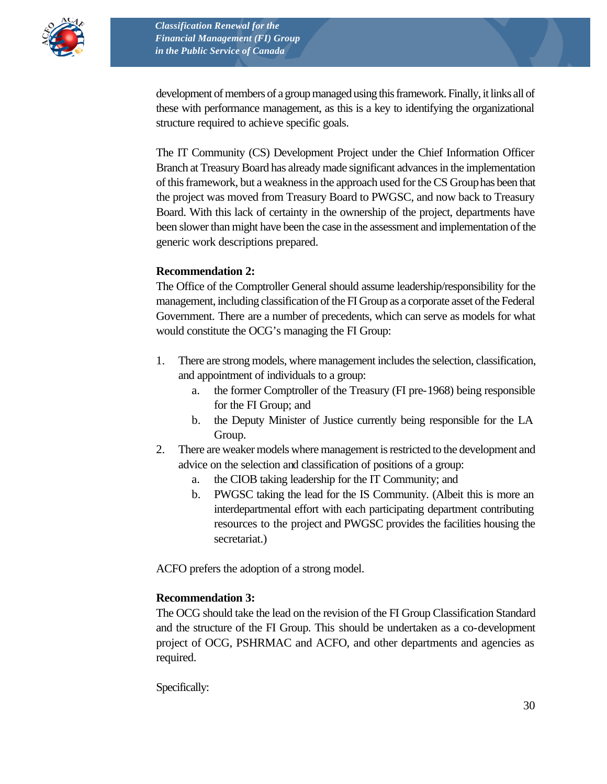

development of members of a group managed using this framework. Finally, it links all of these with performance management, as this is a key to identifying the organizational structure required to achieve specific goals.

The IT Community (CS) Development Project under the Chief Information Officer Branch at Treasury Board has already made significant advances in the implementation of this framework, but a weakness in the approach used for the CS Group has been that the project was moved from Treasury Board to PWGSC, and now back to Treasury Board. With this lack of certainty in the ownership of the project, departments have been slower than might have been the case in the assessment and implementation of the generic work descriptions prepared.

#### **Recommendation 2:**

The Office of the Comptroller General should assume leadership/responsibility for the management, including classification of the FI Group as a corporate asset of the Federal Government. There are a number of precedents, which can serve as models for what would constitute the OCG's managing the FI Group:

- 1. There are strong models, where management includes the selection, classification, and appointment of individuals to a group:
	- a. the former Comptroller of the Treasury (FI pre-1968) being responsible for the FI Group; and
	- b. the Deputy Minister of Justice currently being responsible for the LA Group.
- 2. There are weaker models where management is restricted to the development and advice on the selection and classification of positions of a group:
	- a. the CIOB taking leadership for the IT Community; and
	- b. PWGSC taking the lead for the IS Community. (Albeit this is more an interdepartmental effort with each participating department contributing resources to the project and PWGSC provides the facilities housing the secretariat.)

ACFO prefers the adoption of a strong model.

#### **Recommendation 3:**

The OCG should take the lead on the revision of the FI Group Classification Standard and the structure of the FI Group. This should be undertaken as a co-development project of OCG, PSHRMAC and ACFO, and other departments and agencies as required.

Specifically: